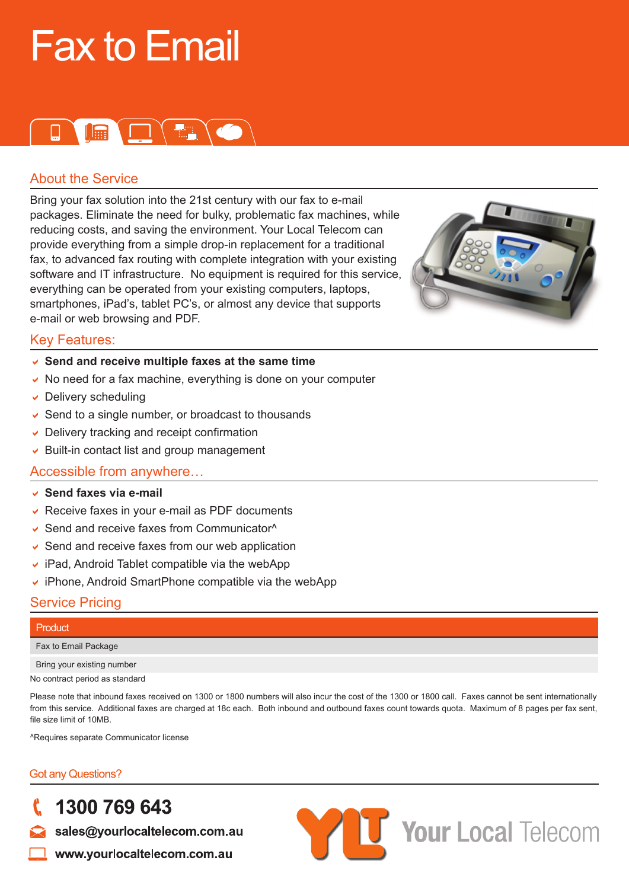# Fax to Email

### D **I Q Q Q Q**

#### About the Service

Bring your fax solution into the 21st century with our fax to e-mail packages. Eliminate the need for bulky, problematic fax machines, while reducing costs, and saving the environment. Your Local Telecom can provide everything from a simple drop-in replacement for a traditional fax, to advanced fax routing with complete integration with your existing software and IT infrastructure. No equipment is required for this service, everything can be operated from your existing computers, laptops, smartphones, iPad's, tablet PC's, or almost any device that supports e-mail or web browsing and PDF.



#### Key Features:

- **► Send and receive multiple faxes at the same time**
- $\vee$  No need for a fax machine, everything is done on your computer
- $\backsim$  Delivery scheduling
- $\triangleright$  Send to a single number, or broadcast to thousands
- $\triangleright$  Delivery tracking and receipt confirmation
- $\triangleright$  Built-in contact list and group management

#### Accessible from anywhere…

- D **Send faxes via e-mail**
- $\vee$  Receive faxes in your e-mail as PDF documents
- $\triangleright$  Send and receive faxes from Communicator<sup> $\wedge$ </sup>
- $\triangleright$  Send and receive faxes from our web application
- $\cdot$  iPad, Android Tablet compatible via the webApp
- $\triangleright$  iPhone, Android SmartPhone compatible via the webApp

#### Service Pricing

| Product                        |
|--------------------------------|
| Fax to Email Package           |
| Bring your existing number     |
| No contract period as standard |

Please note that inbound faxes received on 1300 or 1800 numbers will also incur the cost of the 1300 or 1800 call. Faxes cannot be sent internationally from this service. Additional faxes are charged at 18c each. Both inbound and outbound faxes count towards quota. Maximum of 8 pages per fax sent, file size limit of 10MB.

^Requires separate Communicator license

#### **Got any Questions?**

### 1300 769 643

sales@yourlocaltelecom.com.au

www.yourlocaltelecom.com.au